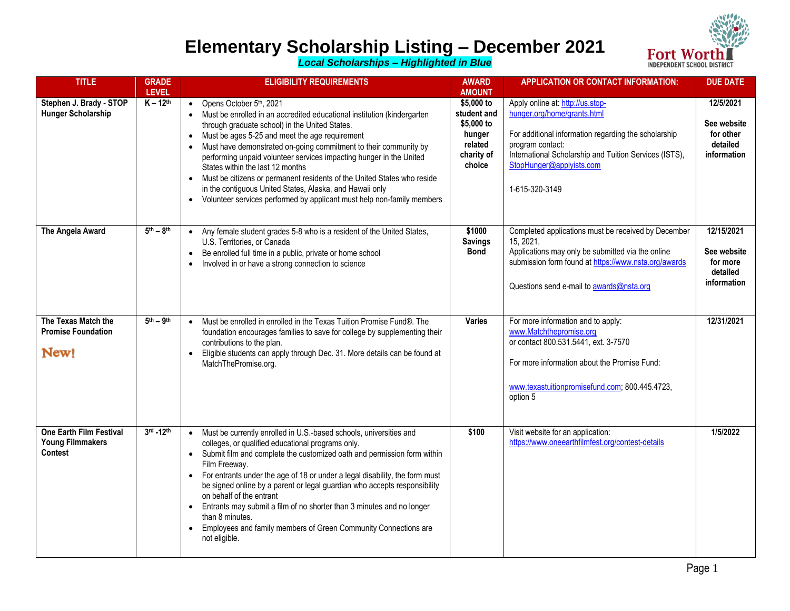

## **Elementary Scholarship Listing – December 2021**

*Local Scholarships – Highlighted in Blue*

| <b>TITLE</b>                                                         | <b>GRADE</b><br><b>LEVEL</b> | <b>ELIGIBILITY REQUIREMENTS</b>                                                                                                                                                                                                                                                                                                                                                                                                                                                                                                                                                                                            | <b>AWARD</b><br><b>AMOUNT</b>                                                        | <b>APPLICATION OR CONTACT INFORMATION:</b>                                                                                                                                                                                                          | <b>DUE DATE</b>                                                  |
|----------------------------------------------------------------------|------------------------------|----------------------------------------------------------------------------------------------------------------------------------------------------------------------------------------------------------------------------------------------------------------------------------------------------------------------------------------------------------------------------------------------------------------------------------------------------------------------------------------------------------------------------------------------------------------------------------------------------------------------------|--------------------------------------------------------------------------------------|-----------------------------------------------------------------------------------------------------------------------------------------------------------------------------------------------------------------------------------------------------|------------------------------------------------------------------|
| Stephen J. Brady - STOP<br>Hunger Scholarship                        | $K - 12^{th}$                | • Opens October $5th$ , 2021<br>Must be enrolled in an accredited educational institution (kindergarten<br>through graduate school) in the United States.<br>Must be ages 5-25 and meet the age requirement<br>$\bullet$<br>Must have demonstrated on-going commitment to their community by<br>performing unpaid volunteer services impacting hunger in the United<br>States within the last 12 months<br>Must be citizens or permanent residents of the United States who reside<br>in the contiguous United States, Alaska, and Hawaii only<br>• Volunteer services performed by applicant must help non-family members | \$5,000 to<br>student and<br>\$5,000 to<br>hunger<br>related<br>charity of<br>choice | Apply online at: http://us.stop-<br>hunger.org/home/grants.html<br>For additional information regarding the scholarship<br>program contact:<br>International Scholarship and Tuition Services (ISTS),<br>StopHunger@applyists.com<br>1-615-320-3149 | 12/5/2021<br>See website<br>for other<br>detailed<br>information |
| The Angela Award                                                     | $5th - 8th$                  | Any female student grades 5-8 who is a resident of the United States,<br>$\bullet$<br>U.S. Territories, or Canada<br>Be enrolled full time in a public, private or home school<br>Involved in or have a strong connection to science                                                                                                                                                                                                                                                                                                                                                                                       | \$1000<br><b>Savings</b><br><b>Bond</b>                                              | Completed applications must be received by December<br>15, 2021.<br>Applications may only be submitted via the online<br>submission form found at https://www.nsta.org/awards<br>Questions send e-mail to awards@nsta.org                           | 12/15/2021<br>See website<br>for more<br>detailed<br>information |
| The Texas Match the<br><b>Promise Foundation</b><br>New!             | $5th - 9th$                  | Must be enrolled in enrolled in the Texas Tuition Promise Fund®. The<br>$\bullet$<br>foundation encourages families to save for college by supplementing their<br>contributions to the plan.<br>Eligible students can apply through Dec. 31. More details can be found at<br>$\bullet$<br>MatchThePromise.org.                                                                                                                                                                                                                                                                                                             | <b>Varies</b>                                                                        | For more information and to apply:<br>www.Matchthepromise.org<br>or contact 800.531.5441, ext. 3-7570<br>For more information about the Promise Fund:<br>www.texastuitionpromisefund.com; 800.445.4723,<br>option 5                                 | 12/31/2021                                                       |
| One Earth Film Festival<br><b>Young Filmmakers</b><br><b>Contest</b> | 3rd -12th                    | • Must be currently enrolled in U.S.-based schools, universities and<br>colleges, or qualified educational programs only.<br>Submit film and complete the customized oath and permission form within<br>Film Freeway.<br>• For entrants under the age of 18 or under a legal disability, the form must<br>be signed online by a parent or legal guardian who accepts responsibility<br>on behalf of the entrant<br>Entrants may submit a film of no shorter than 3 minutes and no longer<br>than 8 minutes.<br>• Employees and family members of Green Community Connections are<br>not eligible.                          | \$100                                                                                | Visit website for an application:<br>https://www.oneearthfilmfest.org/contest-details                                                                                                                                                               | 1/5/2022                                                         |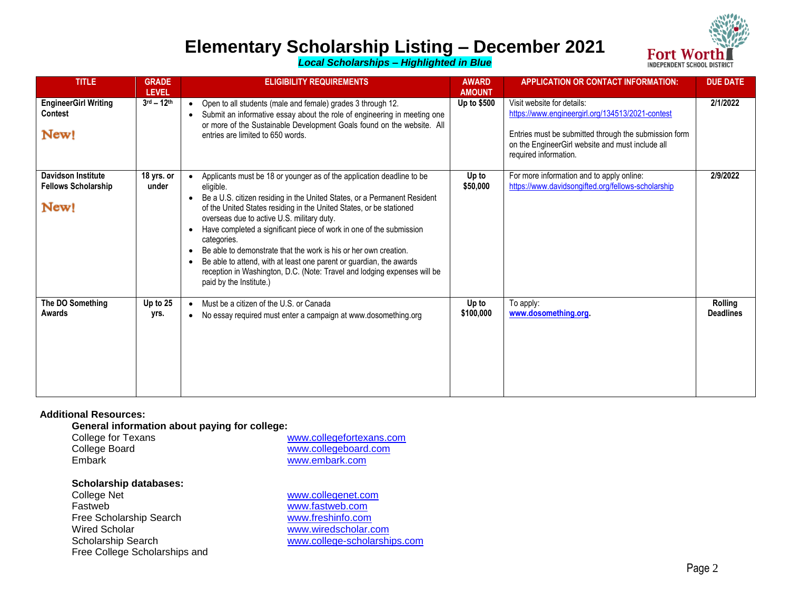

## **Elementary Scholarship Listing – December 2021**

*Local Scholarships – Highlighted in Blue*

| <b>TITLE</b>                                                    | <b>GRADE</b><br><b>LEVEL</b> | <b>ELIGIBILITY REQUIREMENTS</b>                                                                                                                                                                                                                                                                                                                                                                                                                                                                                                                                                                                                                                    | <b>AWARD</b><br><b>AMOUNT</b> | <b>APPLICATION OR CONTACT INFORMATION:</b>                                                                                                                                                                           | <b>DUE DATE</b>             |
|-----------------------------------------------------------------|------------------------------|--------------------------------------------------------------------------------------------------------------------------------------------------------------------------------------------------------------------------------------------------------------------------------------------------------------------------------------------------------------------------------------------------------------------------------------------------------------------------------------------------------------------------------------------------------------------------------------------------------------------------------------------------------------------|-------------------------------|----------------------------------------------------------------------------------------------------------------------------------------------------------------------------------------------------------------------|-----------------------------|
| <b>EngineerGirl Writing</b><br>Contest<br>New!                  | $3^{\rm rd} - 12^{\rm th}$   | Open to all students (male and female) grades 3 through 12.<br>$\bullet$<br>Submit an informative essay about the role of engineering in meeting one<br>$\bullet$<br>or more of the Sustainable Development Goals found on the website. All<br>entries are limited to 650 words.                                                                                                                                                                                                                                                                                                                                                                                   | Up to \$500                   | Visit website for details:<br>https://www.engineergirl.org/134513/2021-contest<br>Entries must be submitted through the submission form<br>on the EngineerGirl website and must include all<br>required information. | 2/1/2022                    |
| <b>Davidson Institute</b><br><b>Fellows Scholarship</b><br>New! | 18 yrs. or<br>under          | Applicants must be 18 or younger as of the application deadline to be<br>eligible.<br>Be a U.S. citizen residing in the United States, or a Permanent Resident<br>$\bullet$<br>of the United States residing in the United States, or be stationed<br>overseas due to active U.S. military duty.<br>Have completed a significant piece of work in one of the submission<br>$\bullet$<br>categories.<br>Be able to demonstrate that the work is his or her own creation.<br>Be able to attend, with at least one parent or guardian, the awards<br>$\bullet$<br>reception in Washington, D.C. (Note: Travel and lodging expenses will be<br>paid by the Institute.) | Up to<br>\$50,000             | For more information and to apply online:<br>https://www.davidsongifted.org/fellows-scholarship                                                                                                                      | 2/9/2022                    |
| The DO Something<br>Awards                                      | Up to 25<br>yrs.             | Must be a citizen of the U.S. or Canada<br>$\bullet$<br>No essay required must enter a campaign at www.dosomething.org<br>$\bullet$                                                                                                                                                                                                                                                                                                                                                                                                                                                                                                                                | Up to<br>\$100,000            | To apply:<br>www.dosomething.org.                                                                                                                                                                                    | Rolling<br><b>Deadlines</b> |

#### **Additional Resources:**

**General information about paying for college:**

| College for Texans | www.collegefortexans.com |
|--------------------|--------------------------|
| College Board      | www.collegeboard.com     |
| Embark             | www.embark.com           |

# **Scholarship databases:**

Fastweb<br>
Free Scholarship Search<br>
Free Scholarship Search<br>
The Www.freshinfo.com Free Scholarship Search<br>Wired Scholar Scholarship Search [www.college-scholarships.com](http://www.college-scholarships.com/) Free College Scholarships and

[www.collegenet.com](http://www.collegenet.com/) [www.wiredscholar.com](http://www.wiredscholar.com/)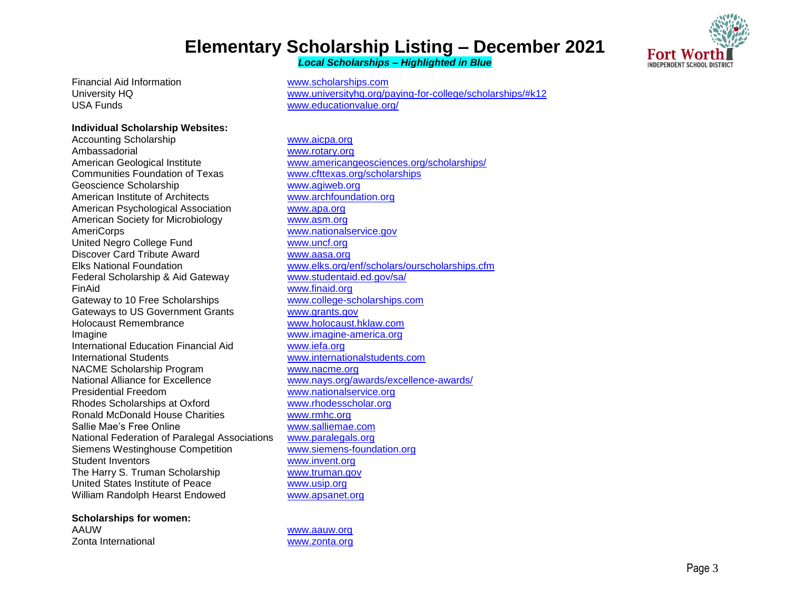## **Elementary Scholarship Listing – December 2021** *Local Scholarships – Highlighted in Blue*

Fort Wo **INDEPENDENT SCHOOL DISTRICT** 

Financial Aid Information [www.scholarships.com](http://www.scholarships.com/) USA Funds [www.educationvalue.org/](http://www.educationvalue.org/)

### **Individual Scholarship Websites:**

Accounting Scholarship [www.aicpa.org](http://www.aicpa.org/) Ambassadorial [www.rotary.org](http://www.rotary.org/) Communities Foundation of Texas [www.cfttexas.org/scholarships](http://www.cfttexas.org/scholarships) Geoscience Scholarship [www.agiweb.org](http://www.agiweb.org/) American Institute of Architects [www.archfoundation.org](http://www.archfoundation.org/) American Psychological Association [www.apa.org](http://www.apa.org/) American Society for Microbiology [www.asm.org](http://www.asm.org/) AmeriCorps [www.nationalservice.gov](http://www.nationalservice.gov/) United Negro College Fund [www.uncf.org](http://www.uncf.org/) Discover Card Tribute Award Warehouse [www.aasa.org](http://www.aasa.org/) Federal Scholarship & Aid Gateway [www.studentaid.ed.gov/sa/](http://www.studentaid.ed.gov/sa/) FinAid [www.finaid.org](http://www.finaid.org/) Gateway to 10 Free Scholarships [www.college-scholarships.com](http://www.college-scholarships.com/) Gateways to US Government Grants [www.grants.gov](http://www.grants.gov/) Holocaust Remembrance [www.holocaust.hklaw.com](http://www.holocaust.hklaw.com/) Imagine [www.imagine-america.org](http://www.imagine-america.org/) International Education Financial Aid [www.iefa.org](http://www.iefa.org/) International Students [www.internationalstudents.com](http://www.internationalstudents.com/) NACME Scholarship Program [www.nacme.org](http://www.nacme.org/) National Alliance for Excellence [www.nays.org/awards/excellence-awards/](http://www.nays.org/awards/excellence-awards/) Presidential Freedom [www.nationalservice.org](http://www.nationalservice.org/) Rhodes Scholarships at Oxford [www.rhodesscholar.org](http://www.rhodesscholar.org/) Ronald McDonald House Charities [www.rmhc.org](http://www.rmhc.org/) Sallie Mae's Free Online [www.salliemae.com](http://www.salliemae.com/) National Federation of Paralegal Associations [www.paralegals.org](http://www.paralegals.org/) Siemens Westinghouse Competition [www.siemens-foundation.org](http://www.siemens-foundation.org/) Student Inventors [www.invent.org](http://www.invent.org/) The Harry S. Truman Scholarship [www.truman.gov](http://www.truman.gov/) United States Institute of Peace [www.usip.org](http://www.usip.org/) William Randolph Hearst Endowed [www.apsanet.org](http://www.apsanet.org/)

**Scholarships for women:** AAUW [www.aauw.org](http://www.aauw.org/) Zonta International [www.zonta.org](http://www.zonta.org/)

University HQ [www.universityhq.org/paying-for-college/scholarships/#k12](http://www.universityhq.org/paying-for-college/scholarships/#k12)

American Geological Institute [www.americangeosciences.org/scholarships/](http://www.americangeosciences.org/scholarships/) Elks National Foundation [www.elks.org/enf/scholars/ourscholarships.cfm](http://www.elks.org/enf/scholars/ourscholarships.cfm)